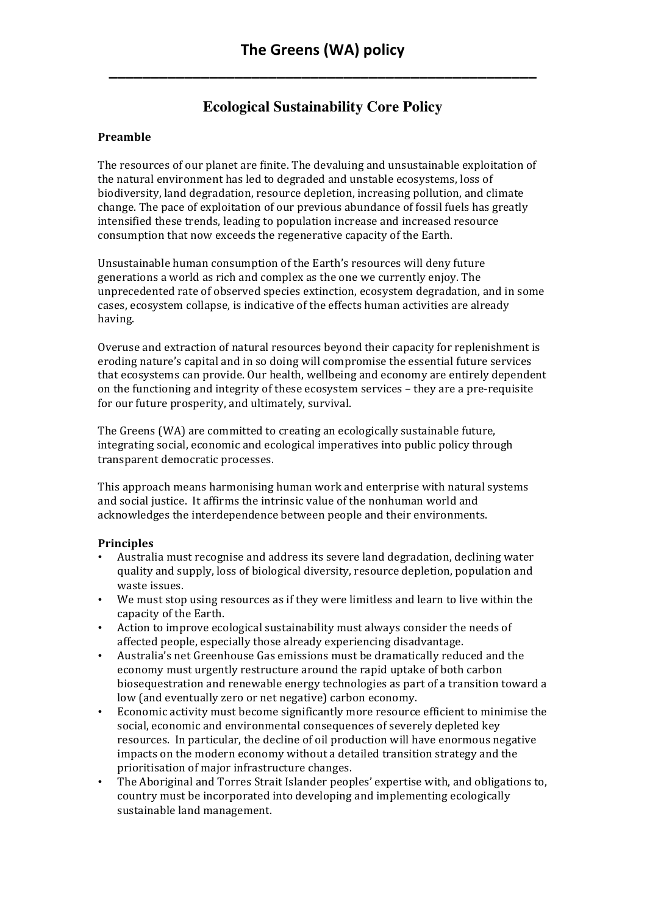## **Ecological Sustainability Core Policy**

## **Preamble**

The resources of our planet are finite. The devaluing and unsustainable exploitation of the natural environment has led to degraded and unstable ecosystems, loss of biodiversity, land degradation, resource depletion, increasing pollution, and climate change. The pace of exploitation of our previous abundance of fossil fuels has greatly intensified these trends, leading to population increase and increased resource consumption that now exceeds the regenerative capacity of the Earth.

Unsustainable human consumption of the Earth's resources will deny future generations a world as rich and complex as the one we currently enjoy. The unprecedented rate of observed species extinction, ecosystem degradation, and in some cases, ecosystem collapse, is indicative of the effects human activities are already having.

Overuse and extraction of natural resources beyond their capacity for replenishment is eroding nature's capital and in so doing will compromise the essential future services that ecosystems can provide. Our health, wellbeing and economy are entirely dependent on the functioning and integrity of these ecosystem services – they are a pre-requisite for our future prosperity, and ultimately, survival.

The Greens (WA) are committed to creating an ecologically sustainable future, integrating social, economic and ecological imperatives into public policy through transparent democratic processes.

This approach means harmonising human work and enterprise with natural systems and social justice. It affirms the intrinsic value of the nonhuman world and acknowledges the interdependence between people and their environments.

## **Principles**

- Australia must recognise and address its severe land degradation, declining water quality and supply, loss of biological diversity, resource depletion, population and waste issues.
- We must stop using resources as if they were limitless and learn to live within the capacity of the Earth.
- Action to improve ecological sustainability must always consider the needs of affected people, especially those already experiencing disadvantage.
- Australia's net Greenhouse Gas emissions must be dramatically reduced and the economy must urgently restructure around the rapid uptake of both carbon biosequestration and renewable energy technologies as part of a transition toward a low (and eventually zero or net negative) carbon economy.
- Economic activity must become significantly more resource efficient to minimise the social, economic and environmental consequences of severely depleted key resources. In particular, the decline of oil production will have enormous negative impacts on the modern economy without a detailed transition strategy and the prioritisation of major infrastructure changes.
- The Aboriginal and Torres Strait Islander peoples' expertise with, and obligations to, country must be incorporated into developing and implementing ecologically sustainable land management.